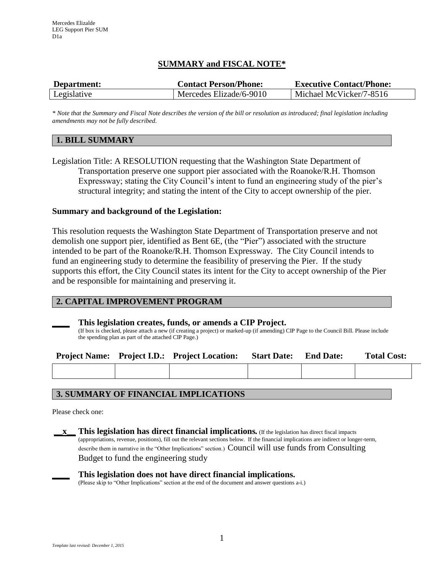# **SUMMARY and FISCAL NOTE\***

| Department: | <b>Contact Person/Phone:</b> | <b>Executive Contact/Phone:</b> |  |  |
|-------------|------------------------------|---------------------------------|--|--|
| Legislative | Mercedes Elizade/6-9010      | Michael McVicker/7-8516         |  |  |

*\* Note that the Summary and Fiscal Note describes the version of the bill or resolution as introduced; final legislation including amendments may not be fully described.*

## **1. BILL SUMMARY**

Legislation Title: A RESOLUTION requesting that the Washington State Department of Transportation preserve one support pier associated with the Roanoke/R.H. Thomson Expressway; stating the City Council's intent to fund an engineering study of the pier's structural integrity; and stating the intent of the City to accept ownership of the pier.

## **Summary and background of the Legislation:**

This resolution requests the Washington State Department of Transportation preserve and not demolish one support pier, identified as Bent 6E, (the "Pier") associated with the structure intended to be part of the Roanoke/R.H. Thomson Expressway. The City Council intends to fund an engineering study to determine the feasibility of preserving the Pier. If the study supports this effort, the City Council states its intent for the City to accept ownership of the Pier and be responsible for maintaining and preserving it.

## **2. CAPITAL IMPROVEMENT PROGRAM**

#### **\_\_\_\_ This legislation creates, funds, or amends a CIP Project.**

(If box is checked, please attach a new (if creating a project) or marked-up (if amending) CIP Page to the Council Bill. Please include the spending plan as part of the attached CIP Page.)

|  | Project Name: Project I.D.: Project Location: Start Date: End Date: |  | <b>Total Cost:</b> |
|--|---------------------------------------------------------------------|--|--------------------|
|  |                                                                     |  |                    |

## **3. SUMMARY OF FINANCIAL IMPLICATIONS**

Please check one:

**\_\_\_\_ This legislation does not have direct financial implications.**

(Please skip to "Other Implications" section at the end of the document and answer questions a-i.)

**\_\_x\_\_ This legislation has direct financial implications***.* (If the legislation has direct fiscal impacts (appropriations, revenue, positions), fill out the relevant sections below. If the financial implications are indirect or longer-term, describe them in narrative in the "Other Implications" section.) Council will use funds from Consulting Budget to fund the engineering study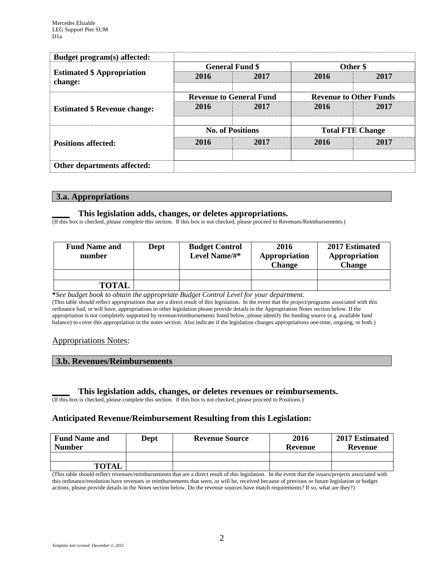| Budget program(s) affected:                  |                                |                        |                               |      |  |
|----------------------------------------------|--------------------------------|------------------------|-------------------------------|------|--|
|                                              |                                | <b>General Fund \$</b> | Other \$                      |      |  |
| <b>Estimated \$ Appropriation</b><br>change: | 2016                           | 2017                   | 2016                          | 2017 |  |
|                                              | <b>Revenue to General Fund</b> |                        | <b>Revenue to Other Funds</b> |      |  |
| <b>Estimated \$ Revenue change:</b>          | 2016                           | 2017                   | 2016                          | 2017 |  |
|                                              | <b>No. of Positions</b>        |                        | <b>Total FTE Change</b>       |      |  |
| <b>Positions affected:</b>                   | 2016                           | 2017                   | 2016                          | 2017 |  |
| Other departments affected:                  |                                |                        |                               |      |  |

#### **3.a. Appropriations**

#### **\_\_\_\_ This legislation adds, changes, or deletes appropriations.**

(If this box is checked, please complete this section. If this box is not checked, please proceed to Revenues/Reimbursements.)

| <b>Fund Name and</b><br>number | Dept | <b>Budget Control</b><br>Level Name/#* | 2016<br>Appropriation<br><b>Change</b> | 2017 Estimated<br>Appropriation<br>Change |  |
|--------------------------------|------|----------------------------------------|----------------------------------------|-------------------------------------------|--|
|                                |      |                                        |                                        |                                           |  |
| <b>TOTAL</b>                   |      |                                        |                                        |                                           |  |

**\****See budget book to obtain the appropriate Budget Control Level for your department.* (This table should reflect appropriations that are a direct result of this legislation. In the event that the project/programs associated with this ordinance had, or will have, appropriations in other legislation please provide details in the Appropriation Notes section below. If the appropriation is not completely supported by revenue/reimbursements listed below, please identify the funding source (e.g. available fund balance) to cover this appropriation in the notes section. Also indicate if the legislation changes appropriations one-time, ongoing, or both.)

## Appropriations Notes:

## **3.b. Revenues/Reimbursements**

#### **\_\_\_\_ This legislation adds, changes, or deletes revenues or reimbursements.**

(If this box is checked, please complete this section. If this box is not checked, please proceed to Positions.)

## **Anticipated Revenue/Reimbursement Resulting from this Legislation:**

| <b>Fund Name and</b><br><b>Number</b> | <b>Dept</b> | <b>Revenue Source</b> | 2016<br>Revenue | 2017 Estimated<br><b>Revenue</b> |  |
|---------------------------------------|-------------|-----------------------|-----------------|----------------------------------|--|
|                                       |             |                       |                 |                                  |  |
| <b>TOTAL</b>                          |             |                       |                 |                                  |  |

(This table should reflect revenues/reimbursements that are a direct result of this legislation. In the event that the issues/projects associated with this ordinance/resolution have revenues or reimbursements that were, or will be, received because of previous or future legislation or budget actions, please provide details in the Notes section below. Do the revenue sources have match requirements? If so, what are they?)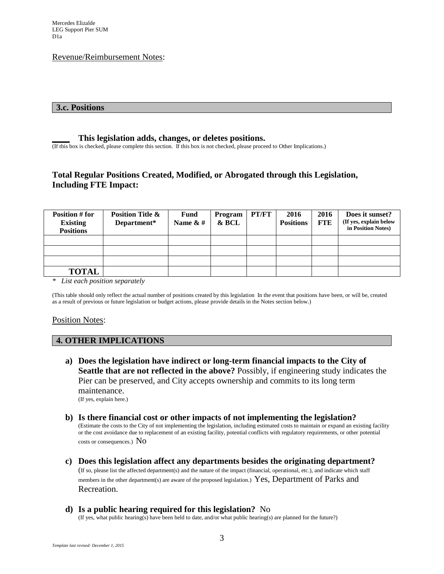#### Revenue/Reimbursement Notes:

#### **3.c. Positions**

#### **\_\_\_\_ This legislation adds, changes, or deletes positions.**

(If this box is checked, please complete this section. If this box is not checked, please proceed to Other Implications.)

# **Total Regular Positions Created, Modified, or Abrogated through this Legislation, Including FTE Impact:**

| Position # for   | <b>Position Title &amp;</b> | Fund        | Program | PT/FT | 2016             | 2016       | Does it sunset?        |
|------------------|-----------------------------|-------------|---------|-------|------------------|------------|------------------------|
| <b>Existing</b>  | Department*                 | Name $\&$ # | $&$ BCL |       | <b>Positions</b> | <b>FTE</b> | (If yes, explain below |
| <b>Positions</b> |                             |             |         |       |                  |            | in Position Notes)     |
|                  |                             |             |         |       |                  |            |                        |
|                  |                             |             |         |       |                  |            |                        |
|                  |                             |             |         |       |                  |            |                        |
| <b>TOTAL</b>     |                             |             |         |       |                  |            |                        |

*\* List each position separately*

(This table should only reflect the actual number of positions created by this legislation In the event that positions have been, or will be, created as a result of previous or future legislation or budget actions, please provide details in the Notes section below.)

#### Position Notes:

## **4. OTHER IMPLICATIONS**

- **a) Does the legislation have indirect or long-term financial impacts to the City of Seattle that are not reflected in the above?** Possibly, if engineering study indicates the Pier can be preserved, and City accepts ownership and commits to its long term maintenance. (If yes, explain here.)
- **b) Is there financial cost or other impacts of not implementing the legislation?** (Estimate the costs to the City of not implementing the legislation, including estimated costs to maintain or expand an existing facility or the cost avoidance due to replacement of an existing facility, potential conflicts with regulatory requirements, or other potential costs or consequences.) No
- **c) Does this legislation affect any departments besides the originating department?**  (If so, please list the affected department(s) and the nature of the impact (financial, operational, etc.), and indicate which staff members in the other department(s) are aware of the proposed legislation.) Yes, Department of Parks and Recreation.
- **d) Is a public hearing required for this legislation?** No

(If yes, what public hearing(s) have been held to date, and/or what public hearing(s) are planned for the future?)